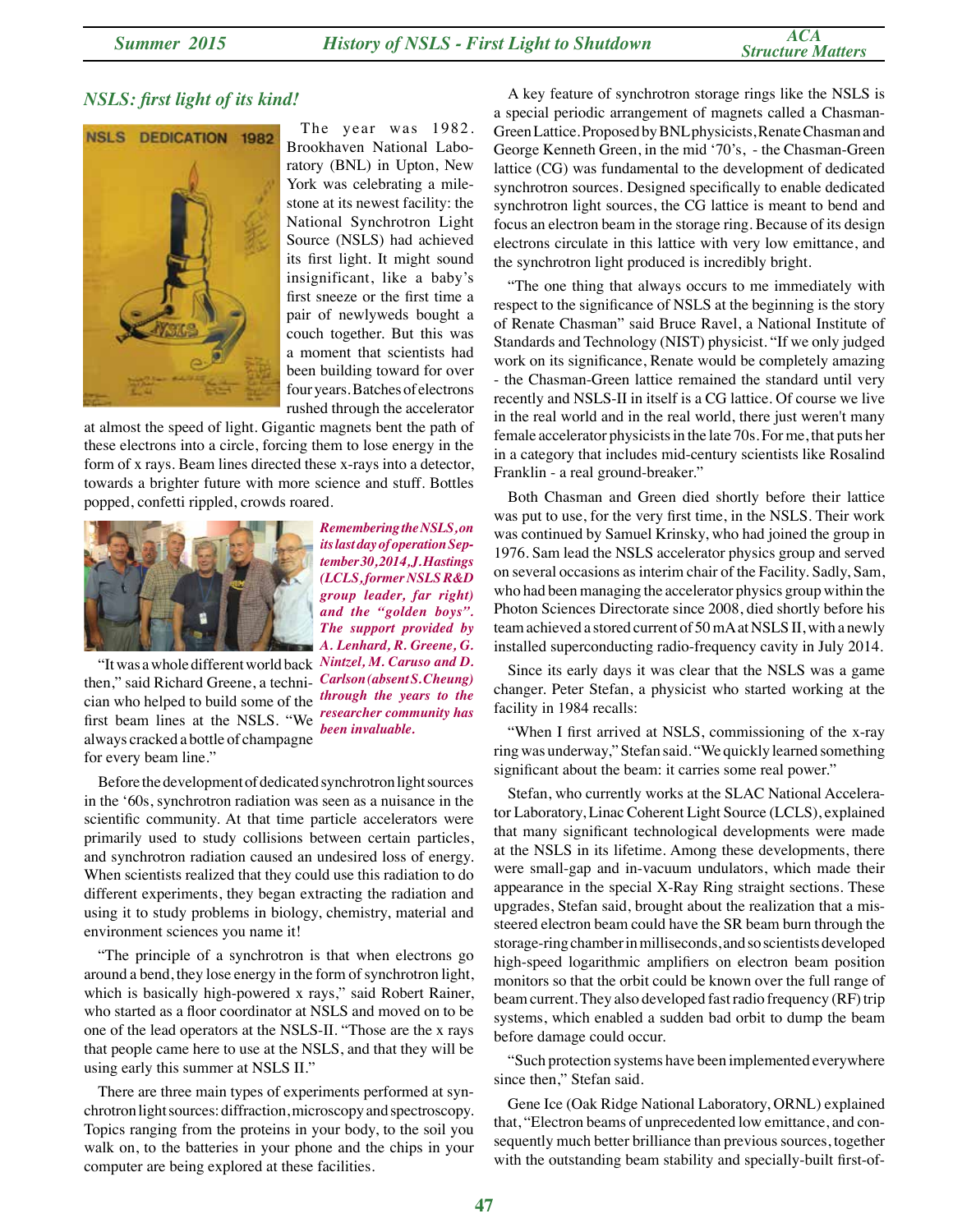## *NSLS: first light of its kind!*



The year was 1982. Brookhaven National Laboratory (BNL) in Upton, New York was celebrating a milestone at its newest facility: the National Synchrotron Light Source (NSLS) had achieved its first light. It might sound insignificant, like a baby's first sneeze or the first time a pair of newlyweds bought a couch together. But this was a moment that scientists had been building toward for over four years. Batches of electrons rushed through the accelerator

at almost the speed of light. Gigantic magnets bent the path of these electrons into a circle, forcing them to lose energy in the form of x rays. Beam lines directed these x-rays into a detector, towards a brighter future with more science and stuff. Bottles popped, confetti rippled, crowds roared.



*its last day of operation September 30, 2014, J. Hastings (LCLS, former NSLS R&D group leader, far right) and the "golden boys". The support provided by A. Lenhard, R. Greene, G. Carlson (absent S. Cheung) through the years to the researcher community has been invaluable.*

*Remembering the NSLS, on* 

"It was a whole different world back *Nintzel, M. Caruso and D.*  then," said Richard Greene, a technician who helped to build some of the first beam lines at the NSLS. "We always cracked a bottle of champagne for every beam line."

Before the development of dedicated synchrotron light sources in the '60s, synchrotron radiation was seen as a nuisance in the scientific community. At that time particle accelerators were primarily used to study collisions between certain particles, and synchrotron radiation caused an undesired loss of energy. When scientists realized that they could use this radiation to do different experiments, they began extracting the radiation and using it to study problems in biology, chemistry, material and environment sciences you name it!

"The principle of a synchrotron is that when electrons go around a bend, they lose energy in the form of synchrotron light, which is basically high-powered x rays," said Robert Rainer, who started as a floor coordinator at NSLS and moved on to be one of the lead operators at the NSLS-II. "Those are the x rays that people came here to use at the NSLS, and that they will be using early this summer at NSLS II."

There are three main types of experiments performed at synchrotron light sources: diffraction, microscopy and spectroscopy. Topics ranging from the proteins in your body, to the soil you walk on, to the batteries in your phone and the chips in your computer are being explored at these facilities.

A key feature of synchrotron storage rings like the NSLS is a special periodic arrangement of magnets called a Chasman-Green Lattice. Proposed by BNL physicists, Renate Chasman and George Kenneth Green, in the mid '70's, - the Chasman-Green lattice (CG) was fundamental to the development of dedicated synchrotron sources. Designed specifically to enable dedicated synchrotron light sources, the CG lattice is meant to bend and focus an electron beam in the storage ring. Because of its design electrons circulate in this lattice with very low emittance, and the synchrotron light produced is incredibly bright.

"The one thing that always occurs to me immediately with respect to the significance of NSLS at the beginning is the story of Renate Chasman" said Bruce Ravel, a National Institute of Standards and Technology (NIST) physicist. "If we only judged work on its significance, Renate would be completely amazing - the Chasman-Green lattice remained the standard until very recently and NSLS-II in itself is a CG lattice. Of course we live in the real world and in the real world, there just weren't many female accelerator physicists in the late 70s. For me, that puts her in a category that includes mid-century scientists like Rosalind Franklin - a real ground-breaker."

Both Chasman and Green died shortly before their lattice was put to use, for the very first time, in the NSLS. Their work was continued by Samuel Krinsky, who had joined the group in 1976. Sam lead the NSLS accelerator physics group and served on several occasions as interim chair of the Facility. Sadly, Sam, who had been managing the accelerator physics group within the Photon Sciences Directorate since 2008, died shortly before his team achieved a stored current of 50 mA at NSLS II, with a newly installed superconducting radio-frequency cavity in July 2014.

Since its early days it was clear that the NSLS was a game changer. Peter Stefan, a physicist who started working at the facility in 1984 recalls:

"When I first arrived at NSLS, commissioning of the x-ray ring was underway," Stefan said. "We quickly learned something significant about the beam: it carries some real power."

Stefan, who currently works at the SLAC National Accelerator Laboratory, Linac Coherent Light Source (LCLS), explained that many significant technological developments were made at the NSLS in its lifetime. Among these developments, there were small-gap and in-vacuum undulators, which made their appearance in the special X-Ray Ring straight sections. These upgrades, Stefan said, brought about the realization that a missteered electron beam could have the SR beam burn through the storage-ring chamber in milliseconds, and so scientists developed high-speed logarithmic amplifiers on electron beam position monitors so that the orbit could be known over the full range of beam current. They also developed fast radio frequency (RF) trip systems, which enabled a sudden bad orbit to dump the beam before damage could occur.

"Such protection systems have been implemented everywhere since then," Stefan said.

Gene Ice (Oak Ridge National Laboratory, ORNL) explained that, "Electron beams of unprecedented low emittance, and consequently much better brilliance than previous sources, together with the outstanding beam stability and specially-built first-of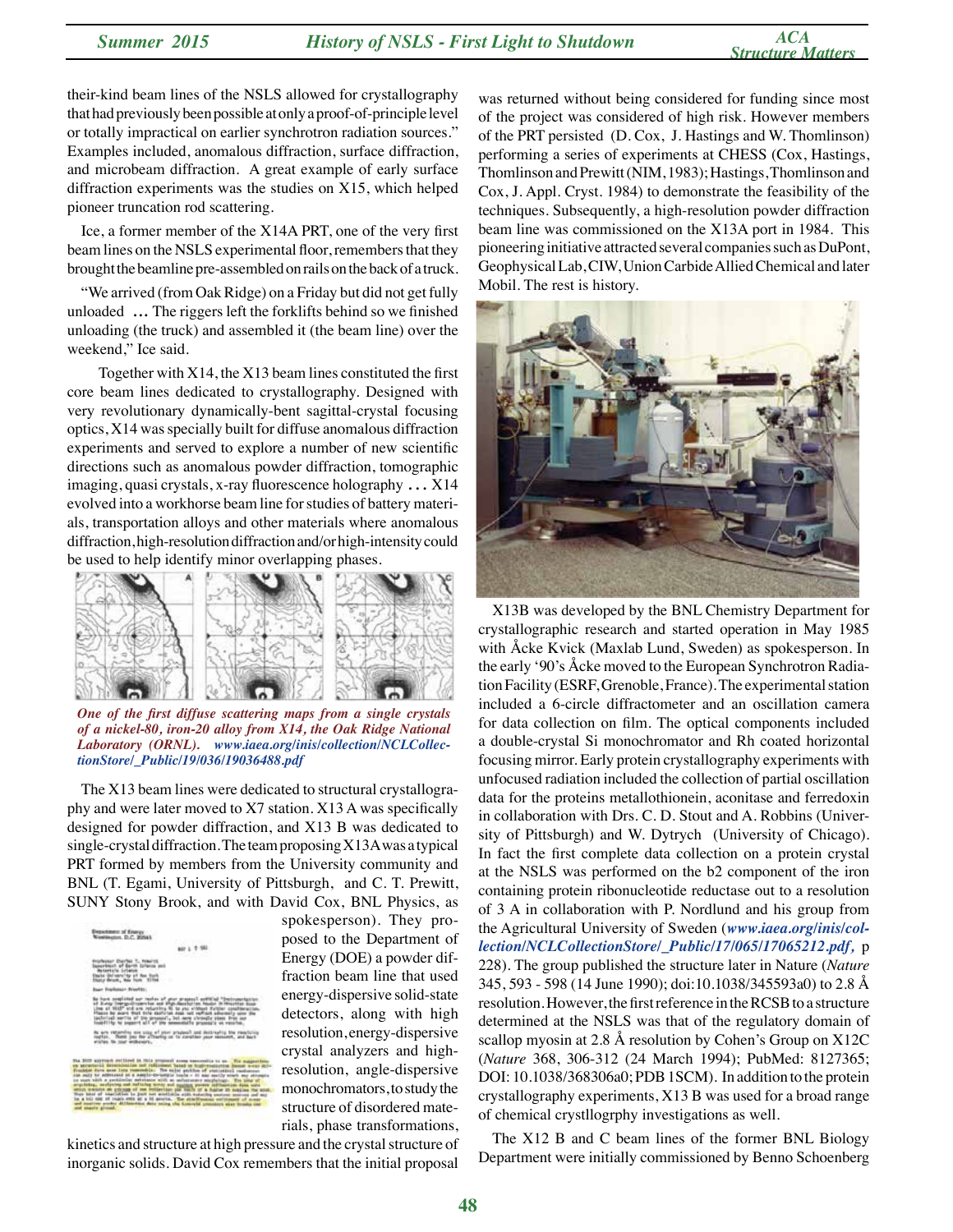their-kind beam lines of the NSLS allowed for crystallography that had previously been possible at only a proof-of-principle level or totally impractical on earlier synchrotron radiation sources." Examples included, anomalous diffraction, surface diffraction, and microbeam diffraction. A great example of early surface diffraction experiments was the studies on X15, which helped pioneer truncation rod scattering.

Ice, a former member of the X14A PRT, one of the very first beam lines on the NSLS experimental floor, remembers that they brought the beamline pre-assembled on rails on the back of a truck.

"We arrived (from Oak Ridge) on a Friday but did not get fully unloaded ... The riggers left the forklifts behind so we finished unloading (the truck) and assembled it (the beam line) over the weekend," Ice said.

 Together with X14, the X13 beam lines constituted the first core beam lines dedicated to crystallography. Designed with very revolutionary dynamically-bent sagittal-crystal focusing optics, X14 was specially built for diffuse anomalous diffraction experiments and served to explore a number of new scientific directions such as anomalous powder diffraction, tomographic imaging, quasi crystals, x-ray fluorescence holography … X14 evolved into a workhorse beam line for studies of battery materials, transportation alloys and other materials where anomalous diffraction, high-resolution diffraction and/or high-intensity could be used to help identify minor overlapping phases.



*One of the first diffuse scattering maps from a single crystals of a nickel-80, iron-20 alloy from X14, the Oak Ridge National Laboratory (ORNL). www.iaea.org/inis/collection/NCLCollectionStore/\_Public/19/036/19036488.pdf*

The X13 beam lines were dedicated to structural crystallography and were later moved to X7 station. X13 A was specifically designed for powder diffraction, and X13 B was dedicated to single-crystal diffraction. The team proposing X13A was a typical PRT formed by members from the University community and BNL (T. Egami, University of Pittsburgh, and C. T. Prewitt, SUNY Stony Brook, and with David Cox, BNL Physics, as



spokesperson). They proposed to the Department of Energy (DOE) a powder diffraction beam line that used energy-dispersive solid-state detectors, along with high resolution, energy-dispersive crystal analyzers and highresolution, angle-dispersive monochromators, to study the structure of disordered materials, phase transformations,

kinetics and structure at high pressure and the crystal structure of inorganic solids. David Cox remembers that the initial proposal

was returned without being considered for funding since most of the project was considered of high risk. However members of the PRT persisted (D. Cox, J. Hastings and W. Thomlinson) performing a series of experiments at CHESS (Cox, Hastings, Thomlinson and Prewitt (NIM, 1983); Hastings, Thomlinson and Cox, J. Appl. Cryst. 1984) to demonstrate the feasibility of the techniques. Subsequently, a high-resolution powder diffraction beam line was commissioned on the X13A port in 1984. This pioneering initiative attracted several companies such as DuPont, Geophysical Lab, CIW, Union Carbide Allied Chemical and later Mobil. The rest is history.



X13B was developed by the BNL Chemistry Department for crystallographic research and started operation in May 1985 with Åcke Kvick (Maxlab Lund, Sweden) as spokesperson. In the early '90's Åcke moved to the European Synchrotron Radiation Facility (ESRF, Grenoble, France). The experimental station included a 6-circle diffractometer and an oscillation camera for data collection on film. The optical components included a double-crystal Si monochromator and Rh coated horizontal focusing mirror. Early protein crystallography experiments with unfocused radiation included the collection of partial oscillation data for the proteins metallothionein, aconitase and ferredoxin in collaboration with Drs. C. D. Stout and A. Robbins (University of Pittsburgh) and W. Dytrych (University of Chicago). In fact the first complete data collection on a protein crystal at the NSLS was performed on the b2 component of the iron containing protein ribonucleotide reductase out to a resolution of 3 A in collaboration with P. Nordlund and his group from the Agricultural University of Sweden (*www.iaea.org/inis/collection/NCLCollectionStore/\_Public/17/065/17065212.pdf,* p 228). The group published the structure later in Nature (*Nature*  345, 593 - 598 (14 June 1990); doi:10.1038/345593a0) to 2.8 Å resolution. However, the first reference in the RCSB to a structure determined at the NSLS was that of the regulatory domain of scallop myosin at 2.8 Å resolution by Cohen's Group on X12C (*Nature* 368, 306-312 (24 March 1994); PubMed: 8127365; DOI: 10.1038/368306a0; PDB 1SCM). In addition to the protein crystallography experiments, X13 B was used for a broad range of chemical crystllogrphy investigations as well.

The X12 B and C beam lines of the former BNL Biology Department were initially commissioned by Benno Schoenberg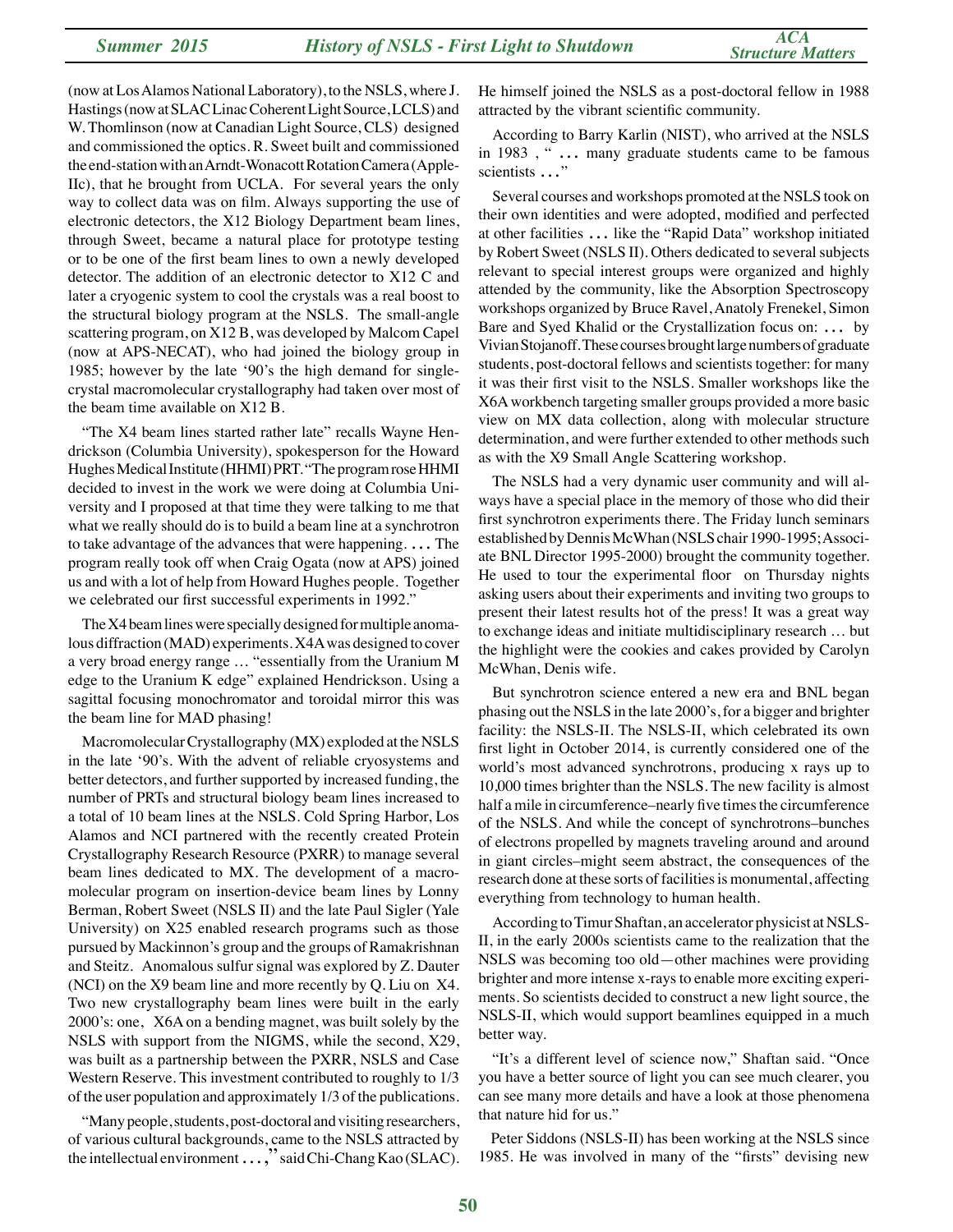(now at Los Alamos National Laboratory), to the NSLS, where J. Hastings (now at SLAC Linac Coherent Light Source, LCLS) and W. Thomlinson (now at Canadian Light Source, CLS) designed and commissioned the optics. R. Sweet built and commissioned the end-station with an Arndt-Wonacott Rotation Camera (Apple-IIc), that he brought from UCLA. For several years the only way to collect data was on film. Always supporting the use of electronic detectors, the X12 Biology Department beam lines, through Sweet, became a natural place for prototype testing or to be one of the first beam lines to own a newly developed detector. The addition of an electronic detector to X12 C and later a cryogenic system to cool the crystals was a real boost to the structural biology program at the NSLS. The small-angle scattering program, on X12 B, was developed by Malcom Capel (now at APS-NECAT), who had joined the biology group in 1985; however by the late '90's the high demand for singlecrystal macromolecular crystallography had taken over most of the beam time available on X12 B.

"The X4 beam lines started rather late" recalls Wayne Hendrickson (Columbia University), spokesperson for the Howard Hughes Medical Institute (HHMI) PRT. "The program rose HHMI decided to invest in the work we were doing at Columbia University and I proposed at that time they were talking to me that what we really should do is to build a beam line at a synchrotron to take advantage of the advances that were happening. … The program really took off when Craig Ogata (now at APS) joined us and with a lot of help from Howard Hughes people. Together we celebrated our first successful experiments in 1992."

The X4 beam lines were specially designed for multiple anomalous diffraction (MAD) experiments. X4A was designed to cover a very broad energy range … "essentially from the Uranium M edge to the Uranium K edge" explained Hendrickson. Using a sagittal focusing monochromator and toroidal mirror this was the beam line for MAD phasing!

Macromolecular Crystallography (MX) exploded at the NSLS in the late '90's. With the advent of reliable cryosystems and better detectors, and further supported by increased funding, the number of PRTs and structural biology beam lines increased to a total of 10 beam lines at the NSLS. Cold Spring Harbor, Los Alamos and NCI partnered with the recently created Protein Crystallography Research Resource (PXRR) to manage several beam lines dedicated to MX. The development of a macromolecular program on insertion-device beam lines by Lonny Berman, Robert Sweet (NSLS II) and the late Paul Sigler (Yale University) on X25 enabled research programs such as those pursued by Mackinnon's group and the groups of Ramakrishnan and Steitz. Anomalous sulfur signal was explored by Z. Dauter (NCI) on the X9 beam line and more recently by Q. Liu on X4. Two new crystallography beam lines were built in the early 2000's: one, X6A on a bending magnet, was built solely by the NSLS with support from the NIGMS, while the second, X29, was built as a partnership between the PXRR, NSLS and Case Western Reserve. This investment contributed to roughly to 1/3 of the user population and approximately 1/3 of the publications.

"Many people, students, post-doctoral and visiting researchers, of various cultural backgrounds, came to the NSLS attracted by the intellectual environment  $\ldots$ ," said Chi-Chang Kao (SLAC). He himself joined the NSLS as a post-doctoral fellow in 1988 attracted by the vibrant scientific community.

According to Barry Karlin (NIST), who arrived at the NSLS in 1983 , " … many graduate students came to be famous scientists …"

Several courses and workshops promoted at the NSLS took on their own identities and were adopted, modified and perfected at other facilities … like the "Rapid Data" workshop initiated by Robert Sweet (NSLS II). Others dedicated to several subjects relevant to special interest groups were organized and highly attended by the community, like the Absorption Spectroscopy workshops organized by Bruce Ravel, Anatoly Frenekel, Simon Bare and Syed Khalid or the Crystallization focus on: … by Vivian Stojanoff. These courses brought large numbers of graduate students, post-doctoral fellows and scientists together: for many it was their first visit to the NSLS. Smaller workshops like the X6A workbench targeting smaller groups provided a more basic view on MX data collection, along with molecular structure determination, and were further extended to other methods such as with the X9 Small Angle Scattering workshop.

The NSLS had a very dynamic user community and will always have a special place in the memory of those who did their first synchrotron experiments there. The Friday lunch seminars established by Dennis McWhan (NSLS chair 1990-1995; Associate BNL Director 1995-2000) brought the community together. He used to tour the experimental floor on Thursday nights asking users about their experiments and inviting two groups to present their latest results hot of the press! It was a great way to exchange ideas and initiate multidisciplinary research … but the highlight were the cookies and cakes provided by Carolyn McWhan, Denis wife.

But synchrotron science entered a new era and BNL began phasing out the NSLS in the late 2000's, for a bigger and brighter facility: the NSLS-II. The NSLS-II, which celebrated its own first light in October 2014, is currently considered one of the world's most advanced synchrotrons, producing x rays up to 10,000 times brighter than the NSLS. The new facility is almost half a mile in circumference–nearly five times the circumference of the NSLS. And while the concept of synchrotrons–bunches of electrons propelled by magnets traveling around and around in giant circles–might seem abstract, the consequences of the research done at these sorts of facilities is monumental, affecting everything from technology to human health.

According to Timur Shaftan, an accelerator physicist at NSLS-II, in the early 2000s scientists came to the realization that the NSLS was becoming too old—other machines were providing brighter and more intense x-rays to enable more exciting experiments. So scientists decided to construct a new light source, the NSLS-II, which would support beamlines equipped in a much better way.

"It's a different level of science now," Shaftan said. "Once you have a better source of light you can see much clearer, you can see many more details and have a look at those phenomena that nature hid for us."

Peter Siddons (NSLS-II) has been working at the NSLS since 1985. He was involved in many of the "firsts" devising new